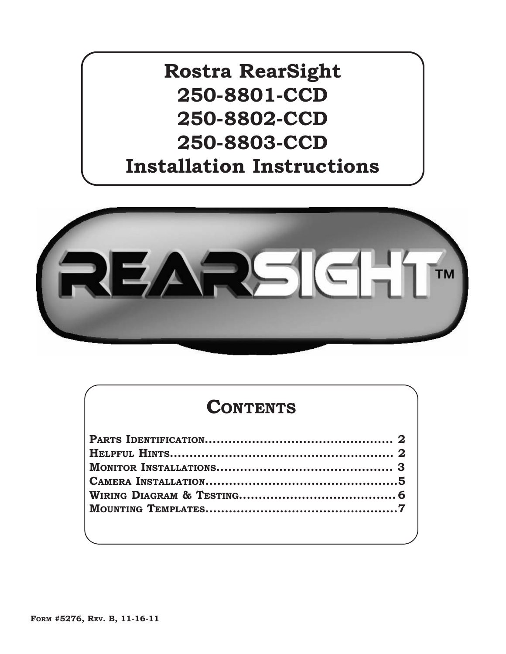**Rostra RearSight 250-8801-CCD 250-8802-CCD 250-8803-CCD Installation Instructions**



# **CONTENTS**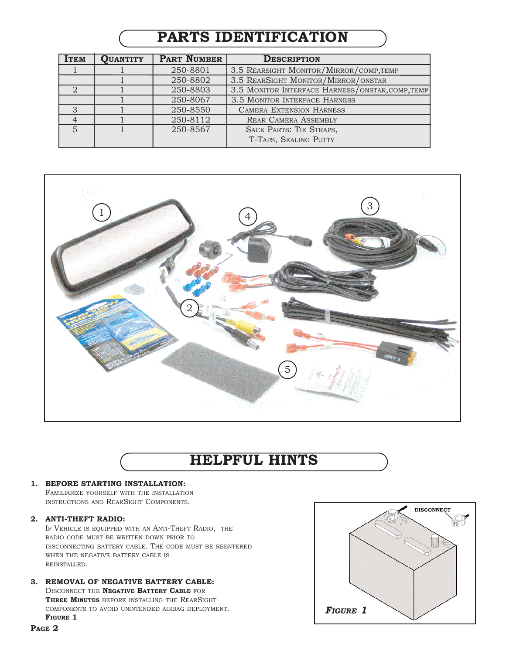## **PARTS IDENTIFICATION**

| <b>ITEM</b>    | <b>QUANTITY</b> | <b>PART NUMBER</b> | <b>DESCRIPTION</b>                               |
|----------------|-----------------|--------------------|--------------------------------------------------|
|                |                 | 250-8801           | 3.5 REARSIGHT MONITOR/MIRROR/COMP, TEMP          |
|                |                 | 250-8802           | 3.5 REARSIGHT MONITOR/MIRROR/ONSTAR              |
|                |                 | 250-8803           | 3.5 MONITOR INTERFACE HARNESS/ONSTAR, COMP, TEMP |
|                |                 | 250-8067           | 3.5 MONITOR INTERFACE HARNESS                    |
| 3              |                 | 250-8550           | <b>CAMERA EXTENSION HARNESS</b>                  |
|                |                 | 250-8112           | <b>REAR CAMERA ASSEMBLY</b>                      |
| $\overline{5}$ |                 | 250-8567           | SACK PARTS: TIE STRAPS,                          |
|                |                 |                    | T-TAPS, SEALING PUTTY                            |



# **HELPFUL HINTS**

### **1. BEFORE STARTING INSTALLATION:**

FAMILIARIZE YOURSELF WITH THE INSTALLATION INSTRUCTIONS AND REARSIGHT COMPONENTS.

#### **2. ANTI-THEFT RADIO:**

IF VEHICLE IS EQUIPPED WITH AN ANTI-THEFT RADIO, THE RADIO CODE MUST BE WRITTEN DOWN PRIOR TO DISCONNECTING BATTERY CABLE. THE CODE MUST BE REENTERED WHEN THE NEGATIVE BATTERY CABLE IS REINSTALLED.

### **3. REMOVAL OF NEGATIVE BATTERY CABLE:**

DISCONNECT THE **NEGATIVE BATTERY CABLE** FOR **THREE MINUTES** BEFORE INSTALLING THE REARSIGHT COMPONENTS TO AVOID UNINTENDED AIRBAG DEPLOYMENT. **FIGURE 1**

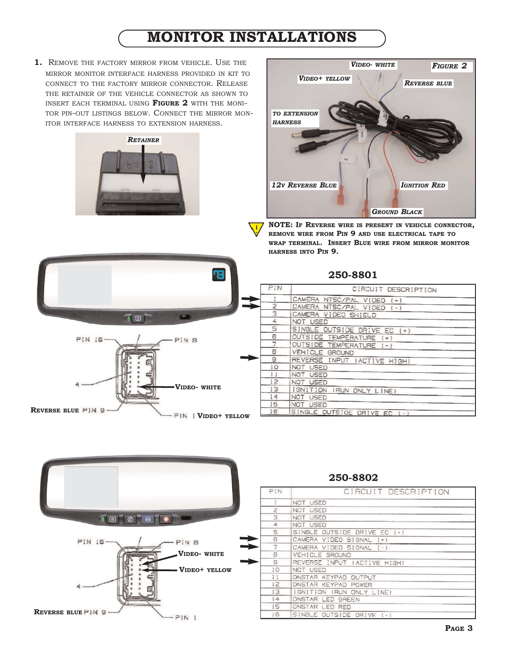## **MONITOR INSTALLATIONS**

**1.** REMOVE THE FACTORY MIRROR FROM VEHICLE. USE THE MIRROR MONITOR INTERFACE HARNESS PROVIDED IN KIT TO CONNECT TO THE FACTORY MIRROR CONNECTOR. RELEASE THE RETAINER OF THE VEHICLE CONNECTOR AS SHOWN TO INSERT EACH TERMINAL USING **FIGURE 2** WITH THE MONI-TOR PIN-OUT LISTINGS BELOW. CONNECT THE MIRROR MON-ITOR INTERFACE HARNESS TO EXTENSION HARNESS.





**NOTE: IF REVERSE WIRE IS PRESENT IN VEHICLE CONNECTOR, REMOVE WIRE FROM PIN 9 AND USE ELECTRICAL TAPE TO WRAP TERMINAL. INSERT BLUE WIRE FROM MIRROR MONITOR HARNESS INTO PIN 9.**



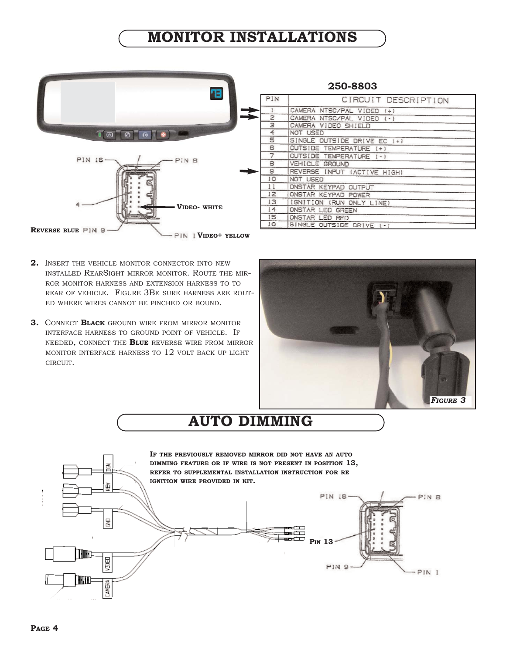## **MONITOR INSTALLATIONS**



- **2.** INSERT THE VEHICLE MONITOR CONNECTOR INTO NEW INSTALLED REARSIGHT MIRROR MONITOR. ROUTE THE MIR-ROR MONITOR HARNESS AND EXTENSION HARNESS TO TO REAR OF VEHICLE. FIGURE 3BE SURE HARNESS ARE ROUT-ED WHERE WIRES CANNOT BE PINCHED OR BOUND.
- **3.** CONNECT **BLACK** GROUND WIRE FROM MIRROR MONITOR INTERFACE HARNESS TO GROUND POINT OF VEHICLE. IF NEEDED, CONNECT THE **BLUE** REVERSE WIRE FROM MIRROR MONITOR INTERFACE HARNESS TO 12 VOLT BACK UP LIGHT CIRCUIT.





# **AUTO DIMMING**

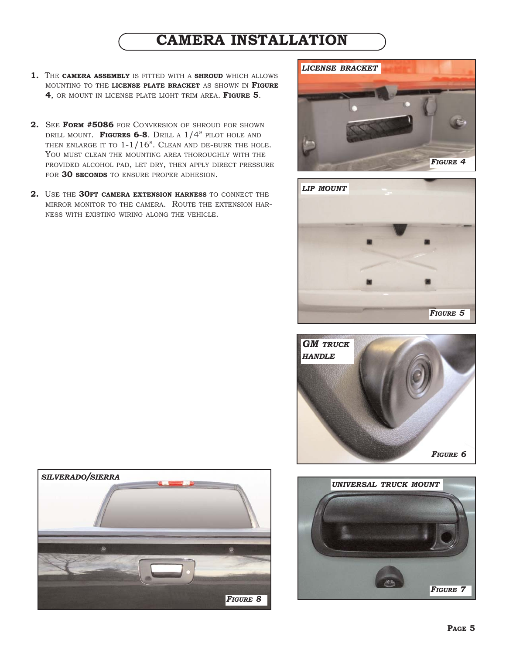## **CAMERA INSTALLATION**

- **1.** THE **CAMERA ASSEMBLY** IS FITTED WITH A **SHROUD** WHICH ALLOWS MOUNTING TO THE **LICENSE PLATE BRACKET** AS SHOWN IN **FIGURE 4**, OR MOUNT IN LICENSE PLATE LIGHT TRIM AREA. **FIGURE 5**.
- **2.** SEE **FORM #5086** FOR CONVERSION OF SHROUD FOR SHOWN DRILL MOUNT. **FIGURES 6-8**. DRILL A 1/4" PILOT HOLE AND THEN ENLARGE IT TO  $1-1/16$ ". CLEAN AND DE-BURR THE HOLE. YOU MUST CLEAN THE MOUNTING AREA THOROUGHLY WITH THE PROVIDED ALCOHOL PAD, LET DRY, THEN APPLY DIRECT PRESSURE FOR **30 SECONDS** TO ENSURE PROPER ADHESION.
- **2.** USE THE **30FT CAMERA EXTENSION HARNESS** TO CONNECT THE MIRROR MONITOR TO THE CAMERA. ROUTE THE EXTENSION HAR-NESS WITH EXISTING WIRING ALONG THE VEHICLE.









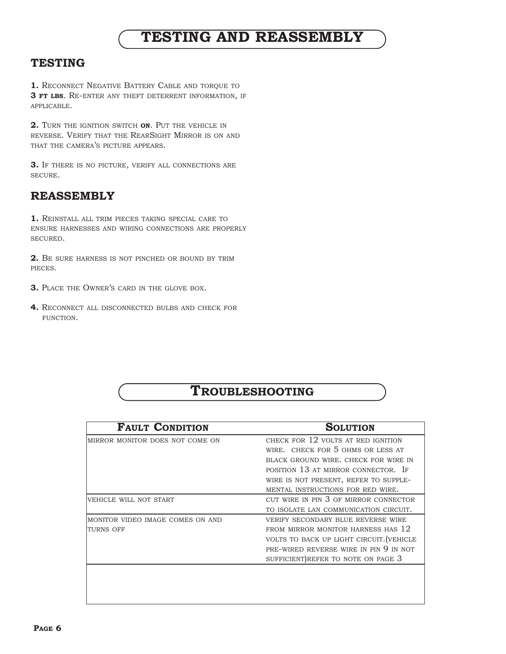## **TESTING AND REASSEMBLY**

## **TESTING**

**1.** RECONNECT NEGATIVE BATTERY CABLE AND TORQUE TO **3 FT LBS**. RE-ENTER ANY THEFT DETERRENT INFORMATION, IF APPLICABLE.

**2.** TURN THE IGNITION SWITCH **ON**. PUT THE VEHICLE IN REVERSE. VERIFY THAT THE REARSIGHT MIRROR IS ON AND THAT THE CAMERA'S PICTURE APPEARS.

**3.** IF THERE IS NO PICTURE, VERIFY ALL CONNECTIONS ARE SECURE.

### **REASSEMBLY**

**1.** REINSTALL ALL TRIM PIECES TAKING SPECIAL CARE TO ENSURE HARNESSES AND WIRING CONNECTIONS ARE PROPERLY SECURED.

**2.** BE SURE HARNESS IS NOT PINCHED OR BOUND BY TRIM PIECES.

- **3.** PLACE THE OWNER'S CARD IN THE GLOVE BOX.
- **4.** RECONNECT ALL DISCONNECTED BULBS AND CHECK FOR FUNCTION.

## **TROUBLESHOOTING**

| <b>FAULT CONDITION</b>           | <b>SOLUTION</b>                          |
|----------------------------------|------------------------------------------|
| MIRROR MONITOR DOES NOT COME ON  | CHECK FOR 12 VOLTS AT RED IGNITION       |
|                                  | WIRE. CHECK FOR 5 OHMS OR LESS AT        |
|                                  | BLACK GROUND WIRE, CHECK FOR WIRE IN     |
|                                  | POSITION 13 AT MIRROR CONNECTOR. IF      |
|                                  | WIRE IS NOT PRESENT, REFER TO SUPPLE-    |
|                                  | MENTAL INSTRUCTIONS FOR RED WIRE.        |
| VEHICLE WILL NOT START           | CUT WIRE IN PIN 3 OF MIRROR CONNECTOR    |
|                                  | TO ISOLATE LAN COMMUNICATION CIRCUIT.    |
| MONITOR VIDEO IMAGE COMES ON AND | VERIFY SECONDARY BLUE REVERSE WIRE       |
| <b>TURNS OFF</b>                 | FROM MIRROR MONITOR HARNESS HAS 12       |
|                                  | VOLTS TO BACK UP LIGHT CIRCUIT. (VEHICLE |
|                                  | PRE-WIRED REVERSE WIRE IN PIN 9 IN NOT   |
|                                  | SUFFICIENT) REFER TO NOTE ON PAGE 3      |
|                                  |                                          |
|                                  |                                          |
|                                  |                                          |
|                                  |                                          |